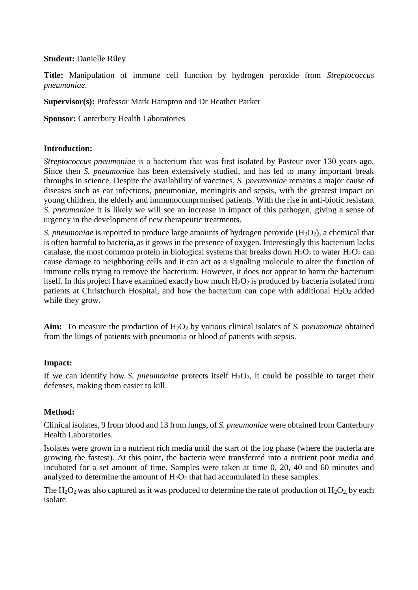#### **Student:** Danielle Riley

**Title:** Manipulation of immune cell function by hydrogen peroxide from *Streptococcus pneumoniae*.

**Supervisor(s):** Professor Mark Hampton and Dr Heather Parker

**Sponsor: Canterbury Health Laboratories** 

## **Introduction:**

*Streptococcus pneumoniae* is a bacterium that was first isolated by Pasteur over 130 years ago. Since then *S. pneumoniae* has been extensively studied, and has led to many important break throughs in science. Despite the availability of vaccines, *S. pneumoniae* remains a major cause of diseases such as ear infections, pneumoniae, meningitis and sepsis, with the greatest impact on young children, the elderly and immunocompromised patients. With the rise in anti-biotic resistant *S. pneumoniae* it is likely we will see an increase in impact of this pathogen, giving a sense of urgency in the development of new therapeutic treatments.

*S. pneumoniae* is reported to produce large amounts of hydrogen peroxide (H<sub>2</sub>O<sub>2</sub>), a chemical that is often harmful to bacteria, as it grows in the presence of oxygen. Interestingly this bacterium lacks catalase, the most common protein in biological systems that breaks down  $H_2O_2$  to water.  $H_2O_2$  can cause damage to neighboring cells and it can act as a signaling molecule to alter the function of immune cells trying to remove the bacterium. However, it does not appear to harm the bacterium itself. In this project I have examined exactly how much  $H_2O_2$  is produced by bacteria isolated from patients at Christchurch Hospital, and how the bacterium can cope with additional  $H_2O_2$  added while they grow.

Aim: To measure the production of H<sub>2</sub>O<sub>2</sub> by various clinical isolates of *S. pneumoniae* obtained from the lungs of patients with pneumonia or blood of patients with sepsis.

# **Impact:**

If we can identify how *S. pneumoniae* protects itself  $H_2O_2$ , it could be possible to target their defenses, making them easier to kill.

#### **Method:**

Clinical isolates, 9 from blood and 13 from lungs, of *S. pneumoniae* were obtained from Canterbury Health Laboratories.

Isolates were grown in a nutrient rich media until the start of the log phase (where the bacteria are growing the fastest). At this point, the bacteria were transferred into a nutrient poor media and incubated for a set amount of time. Samples were taken at time 0, 20, 40 and 60 minutes and analyzed to determine the amount of  $H_2O_2$  that had accumulated in these samples.

The  $H_2O_2$  was also captured as it was produced to determine the rate of production of  $H_2O_2$  by each isolate.